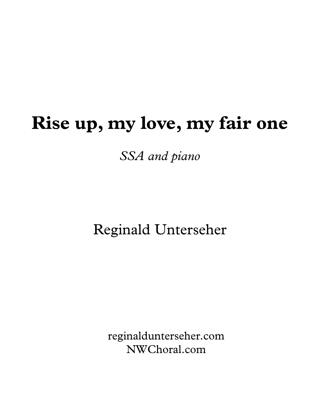# **Rise up, my love, my fair one**

*SSA and piano*

## Reginald Unterseher

reginaldunterseher.com NWChoral.com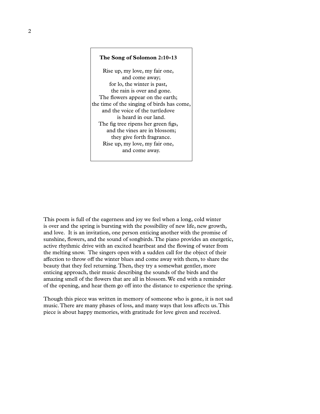#### **The Song ofSolomon 2:10-13**

Rise up, my love, my fair one, and come away; for lo, the winter is past, the rain is over and gone. The flowers appear on the earth; the time of the singing of birds has come, and the voice of the turtledove is heard in our land. The fig tree ripens her green figs, and the vines are in blossom; they give forth fragrance. Rise up, my love, my fair one, and come away.

This poem is full of the eagerness and joy we feel when a long, cold winter is over and the spring is bursting with the possibility of new life, new growth, and love. It is an invitation, one person enticing another with the promise of sunshine, flowers, and the sound of songbirds.The piano provides an energetic, active rhythmic drive with an excited heartbeat and the flowing of water from the melting snow. The singers open with a sudden call for the object of their affection to throw off the winter blues and come away with them, to share the beauty that they feel returning.Then, they try a somewhat gentler, more enticing approach, their music describing the sounds of the birds and the amazing smell of the flowers that are all in blossom.We end with a reminder of the opening, and hear them go off into the distance to experience the spring.

Though this piece was written in memory of someone who is gone, it is not sad music.There are many phases of loss, and many ways that loss affects us.This piece is about happy memories, with gratitude for love given and received.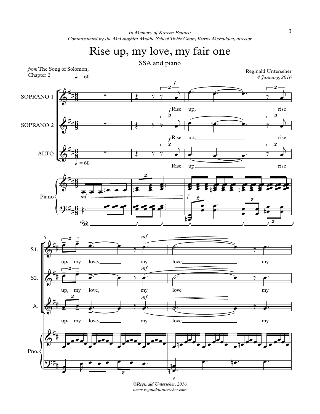*In Memory of Kareen Bennett Commissioned by the McLoughlin Middle SchoolTreble Choir, Kurtis McFadden, director*

## Rise up, my love, my fair one

SSA and piano



*www.reginaldunterseher.com*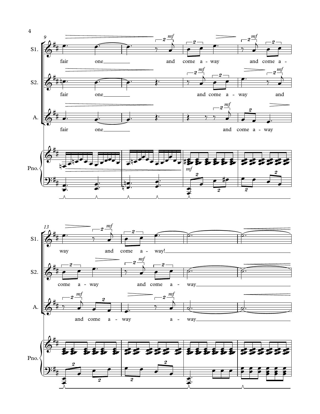

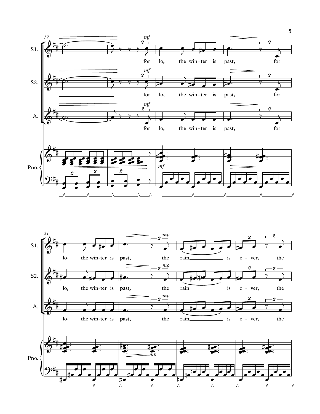



5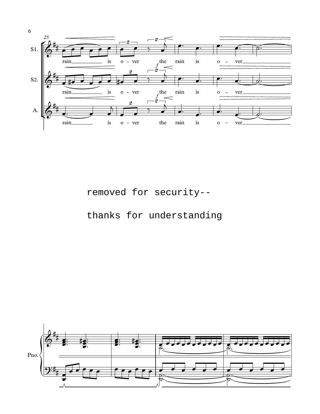

removed for security--

### thanks for understanding

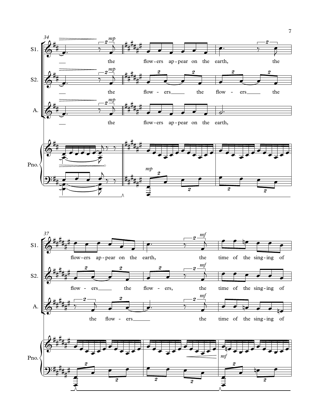

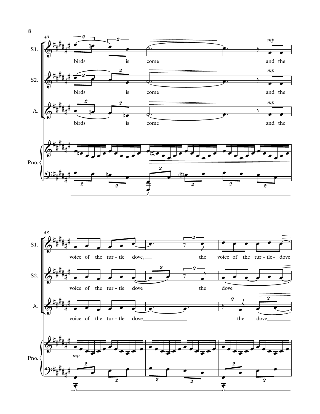

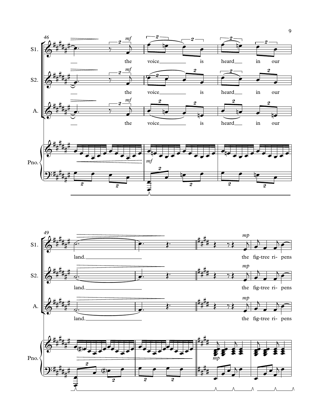



9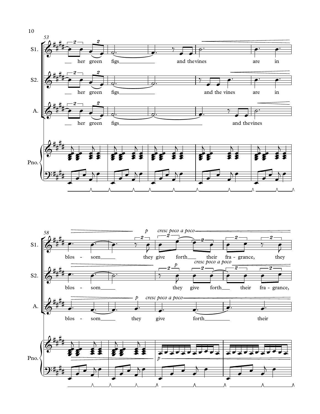

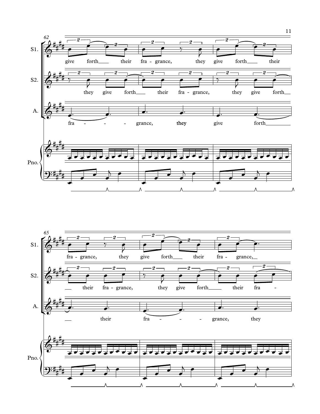



11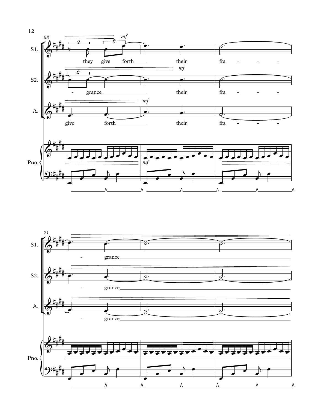

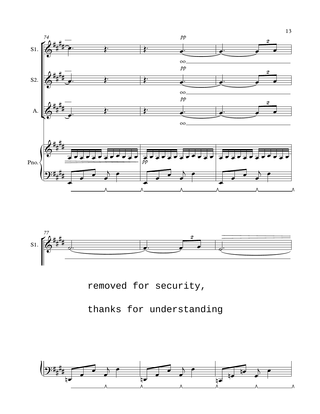



removed for security,

thanks for understanding

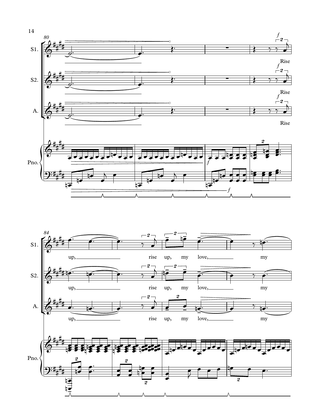

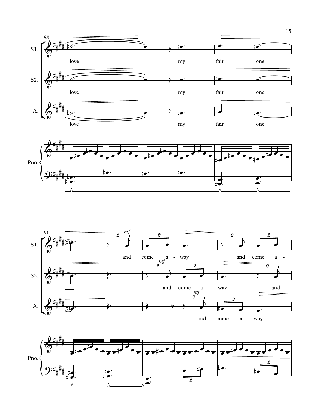

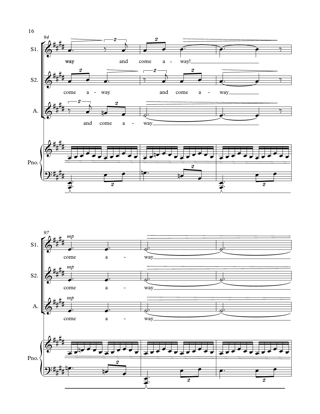